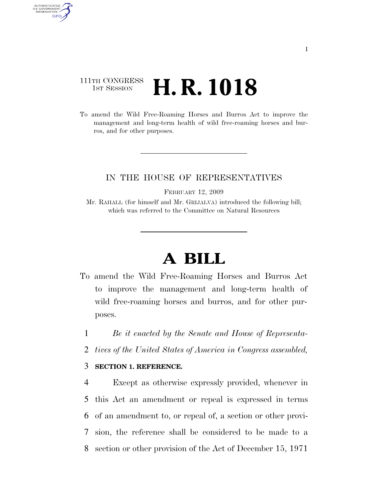## 111TH CONGRESS <sup>TH CONGRESS</sup>  $\,$  **H. R. 1018**

AUTHENTICATED<br>U.S. GOVERNMENT<br>INFORMATION GPO

> To amend the Wild Free-Roaming Horses and Burros Act to improve the management and long-term health of wild free-roaming horses and burros, and for other purposes.

### IN THE HOUSE OF REPRESENTATIVES

FEBRUARY 12, 2009

Mr. RAHALL (for himself and Mr. GRIJALVA) introduced the following bill; which was referred to the Committee on Natural Resources

# **A BILL**

To amend the Wild Free-Roaming Horses and Burros Act to improve the management and long-term health of wild free-roaming horses and burros, and for other purposes.

1 *Be it enacted by the Senate and House of Representa-*

2 *tives of the United States of America in Congress assembled,* 

### 3 **SECTION 1. REFERENCE.**

 Except as otherwise expressly provided, whenever in this Act an amendment or repeal is expressed in terms of an amendment to, or repeal of, a section or other provi- sion, the reference shall be considered to be made to a section or other provision of the Act of December 15, 1971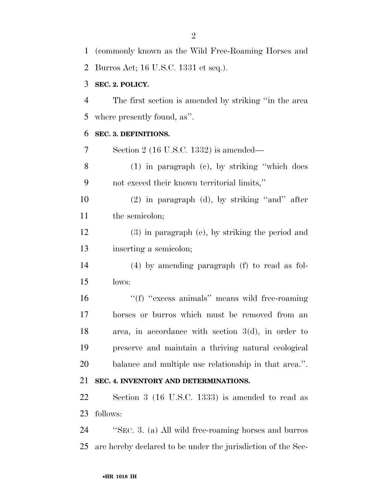Burros Act; 16 U.S.C. 1331 et seq.). **SEC. 2. POLICY.**  The first section is amended by striking ''in the area where presently found, as''. **SEC. 3. DEFINITIONS.**  Section 2 (16 U.S.C. 1332) is amended— (1) in paragraph (c), by striking ''which does not exceed their known territorial limits,'' (2) in paragraph (d), by striking ''and'' after 11 the semicolon; (3) in paragraph (e), by striking the period and inserting a semicolon; (4) by amending paragraph (f) to read as fol- lows: 16 ''(f) "excess animals" means wild free-roaming horses or burros which must be removed from an area, in accordance with section 3(d), in order to preserve and maintain a thriving natural ecological balance and multiple use relationship in that area.''. **SEC. 4. INVENTORY AND DETERMINATIONS.**  Section 3 (16 U.S.C. 1333) is amended to read as follows: ''SEC. 3. (a) All wild free-roaming horses and burros are hereby declared to be under the jurisdiction of the Sec-

(commonly known as the Wild Free-Roaming Horses and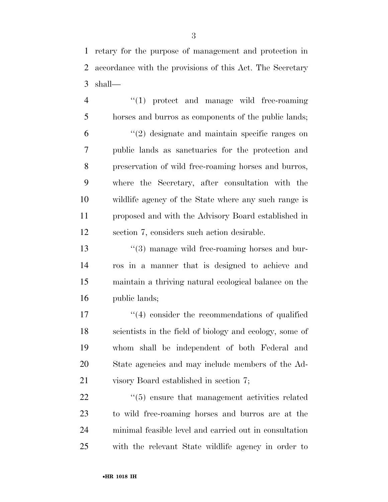retary for the purpose of management and protection in accordance with the provisions of this Act. The Secretary shall—

4 "(1) protect and manage wild free-roaming horses and burros as components of the public lands; ''(2) designate and maintain specific ranges on public lands as sanctuaries for the protection and preservation of wild free-roaming horses and burros, where the Secretary, after consultation with the wildlife agency of the State where any such range is proposed and with the Advisory Board established in section 7, considers such action desirable.

13 ''(3) manage wild free-roaming horses and bur- ros in a manner that is designed to achieve and maintain a thriving natural ecological balance on the public lands;

17 ''(4) consider the recommendations of qualified scientists in the field of biology and ecology, some of whom shall be independent of both Federal and State agencies and may include members of the Ad-visory Board established in section 7;

 $(5)$  ensure that management activities related to wild free-roaming horses and burros are at the minimal feasible level and carried out in consultation with the relevant State wildlife agency in order to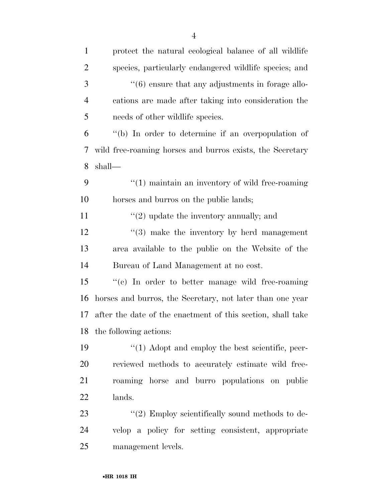| $\mathbf{1}$   | protect the natural ecological balance of all wildlife       |
|----------------|--------------------------------------------------------------|
| $\overline{2}$ | species, particularly endangered wildlife species; and       |
| 3              | $\cdot\cdot$ (6) ensure that any adjustments in forage allo- |
| $\overline{4}$ | cations are made after taking into consideration the         |
| 5              | needs of other wildlife species.                             |
| 6              | "(b) In order to determine if an overpopulation of           |
| 7              | wild free-roaming horses and burros exists, the Secretary    |
| 8              | shall—                                                       |
| 9              | $"(1)$ maintain an inventory of wild free-roaming            |
| 10             | horses and burros on the public lands;                       |
| 11             | $\lq(2)$ update the inventory annually; and                  |
| 12             | $(3)$ make the inventory by herd management                  |
| 13             | area available to the public on the Website of the           |
| 14             | Bureau of Land Management at no cost.                        |
| 15             | "(c) In order to better manage wild free-roaming             |
| 16             | horses and burros, the Secretary, not later than one year    |
| 17             | after the date of the enactment of this section, shall take  |
|                | 18 the following actions:                                    |
| 19             | $\lq(1)$ Adopt and employ the best scientific, peer-         |
| <b>20</b>      | reviewed methods to accurately estimate wild free-           |
| 21             | roaming horse and burro populations on public                |
| 22             | lands.                                                       |
| 23             | $"(2)$ Employ scientifically sound methods to de-            |
| 24             | velop a policy for setting consistent, appropriate           |
| 25             | management levels.                                           |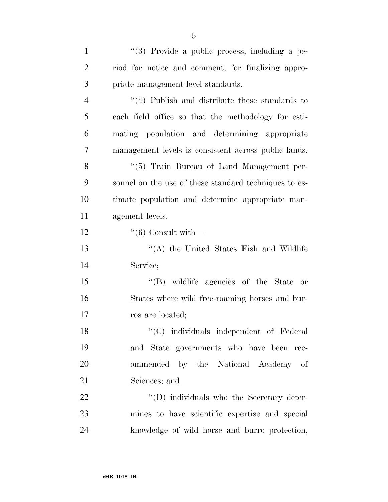| $\mathbf{1}$   | "(3) Provide a public process, including a pe-        |
|----------------|-------------------------------------------------------|
| $\overline{2}$ | riod for notice and comment, for finalizing appro-    |
| 3              | priate management level standards.                    |
| $\overline{4}$ | $(4)$ Publish and distribute these standards to       |
| 5              | each field office so that the methodology for esti-   |
| 6              | mating population and determining appropriate         |
| 7              | management levels is consistent across public lands.  |
| 8              | "(5) Train Bureau of Land Management per-             |
| 9              | sonnel on the use of these standard techniques to es- |
| 10             | timate population and determine appropriate man-      |
| 11             | agement levels.                                       |
| 12             | $``(6)$ Consult with—                                 |
| 13             | "(A) the United States Fish and Wildlife              |
| 14             | Service;                                              |
| 15             | "(B) wildlife agencies of the State or                |
| 16             | States where wild free-roaming horses and bur-        |
| 17             | ros are located;                                      |
| 18             | "(C) individuals independent of Federal               |
| 19             | and State governments who have been rec-              |
| 20             | ommended by the National Academy of                   |
| 21             | Sciences; and                                         |
| 22             | $\lq\lq$ (D) individuals who the Secretary deter-     |
| 23             | mines to have scientific expertise and special        |
| 24             | knowledge of wild horse and burro protection,         |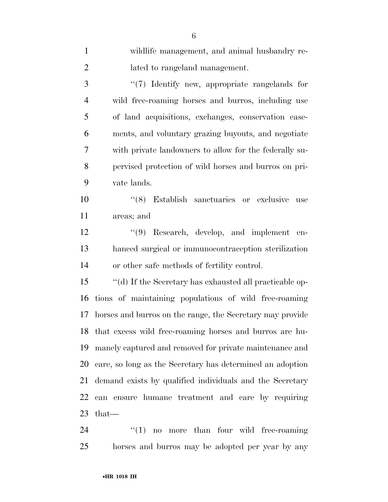| $\mathbf{1}$   | wildlife management, and animal husbandry re-              |
|----------------|------------------------------------------------------------|
| $\overline{2}$ | lated to rangeland management.                             |
| 3              | "(7) Identify new, appropriate rangelands for              |
| $\overline{4}$ | wild free-roaming horses and burros, including use         |
| 5              | of land acquisitions, exchanges, conservation ease-        |
| 6              | ments, and voluntary grazing buyouts, and negotiate        |
| 7              | with private landowners to allow for the federally su-     |
| 8              | pervised protection of wild horses and burros on pri-      |
| 9              | vate lands.                                                |
| 10             | "(8) Establish sanctuaries or exclusive<br>use             |
| 11             | areas; and                                                 |
| 12             | $\lq(9)$ Research, develop, and implement en-              |
| 13             | hanced surgical or immunocontraception sterilization       |
| 14             | or other safe methods of fertility control.                |
| 15             | "(d) If the Secretary has exhausted all practicable op-    |
| 16             | tions of maintaining populations of wild free-roaming      |
| 17             | horses and burros on the range, the Secretary may provide  |
|                | 18 that excess wild free-roaming horses and burros are hu- |
| 19             | manely captured and removed for private maintenance and    |
| 20             | care, so long as the Secretary has determined an adoption  |
| 21             | demand exists by qualified individuals and the Secretary   |
| 22             | can ensure humane treatment and care by requiring          |
| 23             | that—                                                      |
| 24             | ``(1)<br>no more than four wild free-roaming               |

horses and burros may be adopted per year by any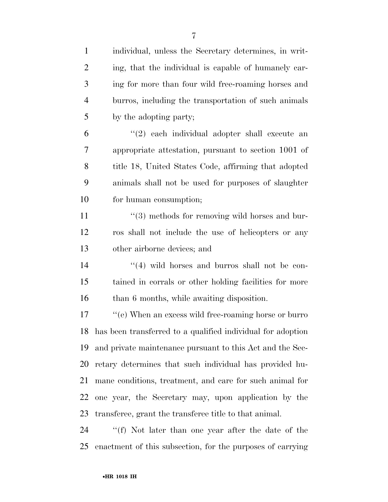| $\mathbf{1}$   | individual, unless the Secretary determines, in writ-          |
|----------------|----------------------------------------------------------------|
| $\overline{2}$ | ing, that the individual is capable of humanely car-           |
| 3              | ing for more than four wild free-roaming horses and            |
| $\overline{4}$ | burros, including the transportation of such animals           |
| 5              | by the adopting party;                                         |
| 6              | "(2) each individual adopter shall execute an                  |
| 7              | appropriate attestation, pursuant to section 1001 of           |
| 8              | title 18, United States Code, affirming that adopted           |
| 9              | animals shall not be used for purposes of slaughter            |
| 10             | for human consumption;                                         |
| 11             | $\lq(3)$ methods for removing wild horses and bur-             |
| 12             | ros shall not include the use of helicopters or any            |
| 13             | other airborne devices; and                                    |
| 14             | $\cdot$ (4) wild horses and burros shall not be con-           |
| 15             | tained in corrals or other holding facilities for more         |
| 16             | than 6 months, while awaiting disposition.                     |
| 17             | "(e) When an excess wild free-roaming horse or burro           |
|                | 18 has been transferred to a qualified individual for adoption |
| 19             | and private maintenance pursuant to this Act and the Sec-      |
| 20             | retary determines that such individual has provided hu-        |
| 21             | mane conditions, treatment, and care for such animal for       |
| 22             | one year, the Secretary may, upon application by the           |
| 23             | transferee, grant the transferee title to that animal.         |
| 24             | "(f) Not later than one year after the date of the             |
| 25             | enactment of this subsection, for the purposes of carrying     |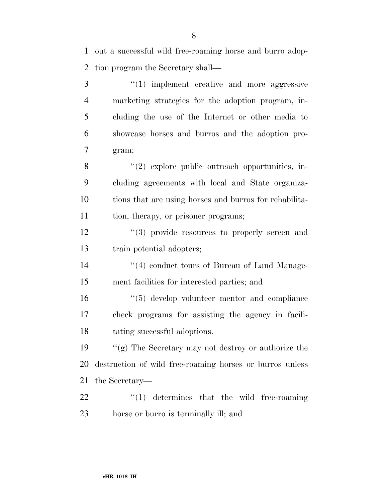out a successful wild free-roaming horse and burro adop-tion program the Secretary shall—

3 "(1) implement creative and more aggressive marketing strategies for the adoption program, in- cluding the use of the Internet or other media to showcase horses and burros and the adoption pro- gram; 8 "(2) explore public outreach opportunities, in- cluding agreements with local and State organiza- tions that are using horses and burros for rehabilita-11 tion, therapy, or prisoner programs; 12 "(3) provide resources to properly screen and train potential adopters; 14 ''(4) conduct tours of Bureau of Land Manage- ment facilities for interested parties; and ''(5) develop volunteer mentor and compliance check programs for assisting the agency in facili- tating successful adoptions. ''(g) The Secretary may not destroy or authorize the destruction of wild free-roaming horses or burros unless the Secretary—  $\qquad$   $\qquad$   $(1)$  determines that the wild free-roaming

horse or burro is terminally ill; and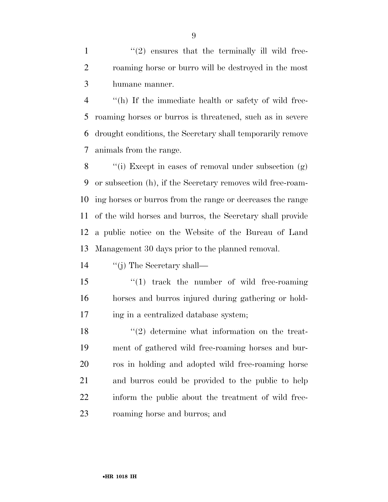$\mathcal{L}(2)$  ensures that the terminally ill wild free- roaming horse or burro will be destroyed in the most humane manner.

 ''(h) If the immediate health or safety of wild free- roaming horses or burros is threatened, such as in severe drought conditions, the Secretary shall temporarily remove animals from the range.

 ''(i) Except in cases of removal under subsection (g) or subsection (h), if the Secretary removes wild free-roam- ing horses or burros from the range or decreases the range of the wild horses and burros, the Secretary shall provide a public notice on the Website of the Bureau of Land Management 30 days prior to the planned removal.

''(j) The Secretary shall—

15 ''(1) track the number of wild free-roaming horses and burros injured during gathering or hold-ing in a centralized database system;

18 ''(2) determine what information on the treat- ment of gathered wild free-roaming horses and bur- ros in holding and adopted wild free-roaming horse and burros could be provided to the public to help inform the public about the treatment of wild free-roaming horse and burros; and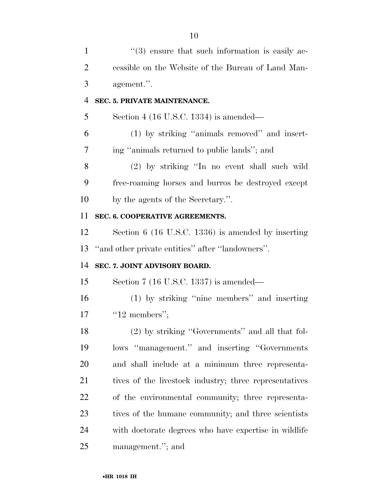| $\mathbf{1}$   | $(3)$ ensure that such information is easily ac-       |
|----------------|--------------------------------------------------------|
| $\overline{2}$ | cessible on the Website of the Bureau of Land Man-     |
| 3              | agement.".                                             |
| $\overline{4}$ | SEC. 5. PRIVATE MAINTENANCE.                           |
| 5              | Section 4 (16 U.S.C. 1334) is amended—                 |
| 6              | (1) by striking "animals removed" and insert-          |
| 7              | ing "animals returned to public lands"; and            |
| 8              | (2) by striking "In no event shall such wild           |
| 9              | free-roaming horses and burros be destroyed except     |
| 10             | by the agents of the Secretary.".                      |
| 11             | SEC. 6. COOPERATIVE AGREEMENTS.                        |
| 12             | Section 6 (16 U.S.C. 1336) is amended by inserting     |
| 13             | "and other private entities" after "landowners".       |
| 14             | SEC. 7. JOINT ADVISORY BOARD.                          |
| 15             | Section $7(16$ U.S.C. 1337) is amended—                |
| 16             | (1) by striking "nine members" and inserting           |
| 17             | " $12$ members";                                       |
| 18             | (2) by striking "Governments" and all that fol-        |
| 19             | lows "management." and inserting "Governments          |
| 20             | and shall include at a minimum three representa-       |
| 21             | tives of the livestock industry; three representatives |
| 22             | of the environmental community; three representa-      |
| 23             | tives of the humane community; and three scientists    |
| 24             | with doctorate degrees who have expertise in wildlife  |
| 25             | management."; and                                      |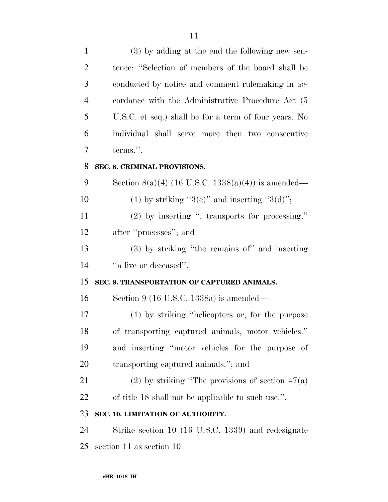| $\mathbf{1}$   | (3) by adding at the end the following new sen-       |
|----------------|-------------------------------------------------------|
| $\overline{2}$ | tence: "Selection of members of the board shall be    |
| 3              | conducted by notice and comment rulemaking in ac-     |
| $\overline{4}$ | cordance with the Administrative Procedure Act (5     |
| 5              | U.S.C. et seq.) shall be for a term of four years. No |
| 6              | individual shall serve more then two consecutive      |
| 7              | terms.".                                              |
| 8              | SEC. 8. CRIMINAL PROVISIONS.                          |
| 9              | Section 8(a)(4) (16 U.S.C. 1338(a)(4)) is amended—    |
| 10             | (1) by striking " $3(e)$ " and inserting " $3(d)$ ";  |
| 11             | $(2)$ by inserting ", transports for processing,"     |
| 12             | after "processes"; and                                |
| 13             | (3) by striking "the remains of" and inserting        |
| 14             | "a live or deceased".                                 |
| 15             | SEC. 9. TRANSPORTATION OF CAPTURED ANIMALS.           |
| 16             | Section 9 (16 U.S.C. 1338a) is amended—               |
| 17             | (1) by striking "helicopters or, for the purpose      |
| 18             | of transporting captured animals, motor vehicles."    |
| 19             | and inserting "motor vehicles for the purpose of      |
| 20             | transporting captured animals."; and                  |
| 21             | (2) by striking "The provisions of section $47(a)$    |
| 22             | of title 18 shall not be applicable to such use.".    |
| 23             | SEC. 10. LIMITATION OF AUTHORITY.                     |
| 24             | Strike section 10 (16 U.S.C. 1339) and redesignate    |
| 25             | section 11 as section 10.                             |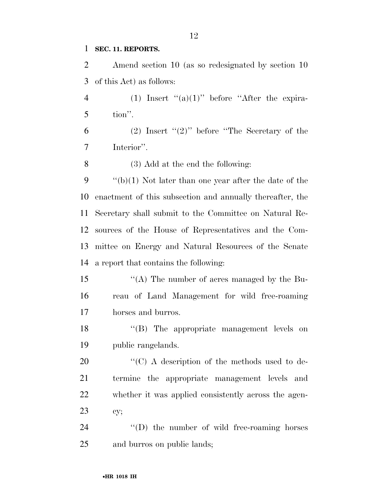### **SEC. 11. REPORTS.**

 Amend section 10 (as so redesignated by section 10 of this Act) as follows:

4 (1) Insert " $(a)(1)$ " before "After the expira-tion".

6 (2) Insert " $(2)$ " before "The Secretary of the Interior''.

(3) Add at the end the following:

 $\frac{1}{2}$  (b)(1) Not later than one year after the date of the enactment of this subsection and annually thereafter, the Secretary shall submit to the Committee on Natural Re- sources of the House of Representatives and the Com- mittee on Energy and Natural Resources of the Senate a report that contains the following:

 ''(A) The number of acres managed by the Bu- reau of Land Management for wild free-roaming horses and burros.

 ''(B) The appropriate management levels on public rangelands.

 $\langle ^{\prime}(C) \rangle$  A description of the methods used to de- termine the appropriate management levels and whether it was applied consistently across the agen-cy;

24  $\langle\text{`(D)}\rangle$  the number of wild free-roaming horses and burros on public lands;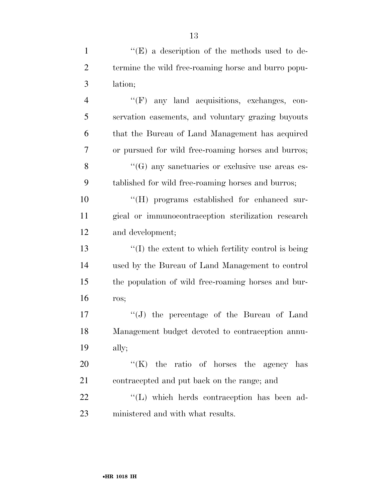| $\mathbf{1}$   | "(E) a description of the methods used to de-               |
|----------------|-------------------------------------------------------------|
| $\overline{2}$ | termine the wild free-roaming horse and burro popu-         |
| 3              | lation;                                                     |
| $\overline{4}$ | $\lq\lq(F)$ any land acquisitions, exchanges, con-          |
| 5              | servation easements, and voluntary grazing buyouts          |
| 6              | that the Bureau of Land Management has acquired             |
| 7              | or pursued for wild free-roaming horses and burros;         |
| 8              | "(G) any sanctuaries or exclusive use areas es-             |
| 9              | tablished for wild free-roaming horses and burros;          |
| 10             | "(H) programs established for enhanced sur-                 |
| 11             | gical or immunocontraception sterilization research         |
| 12             | and development;                                            |
| 13             | $\lq\lq$ (I) the extent to which fertility control is being |
| 14             | used by the Bureau of Land Management to control            |
| 15             | the population of wild free-roaming horses and bur-         |
| 16             | ros;                                                        |
| 17             | "(J) the percentage of the Bureau of Land                   |
| 18             | Management budget devoted to contraception annu-            |
| 19             | ally;                                                       |
| 20             | $\lq\lq(K)$ the ratio of horses the agency<br>has           |
| 21             | contracepted and put back on the range; and                 |
| 22             | "(L) which herds contraception has been ad-                 |
| 23             | ministered and with what results.                           |